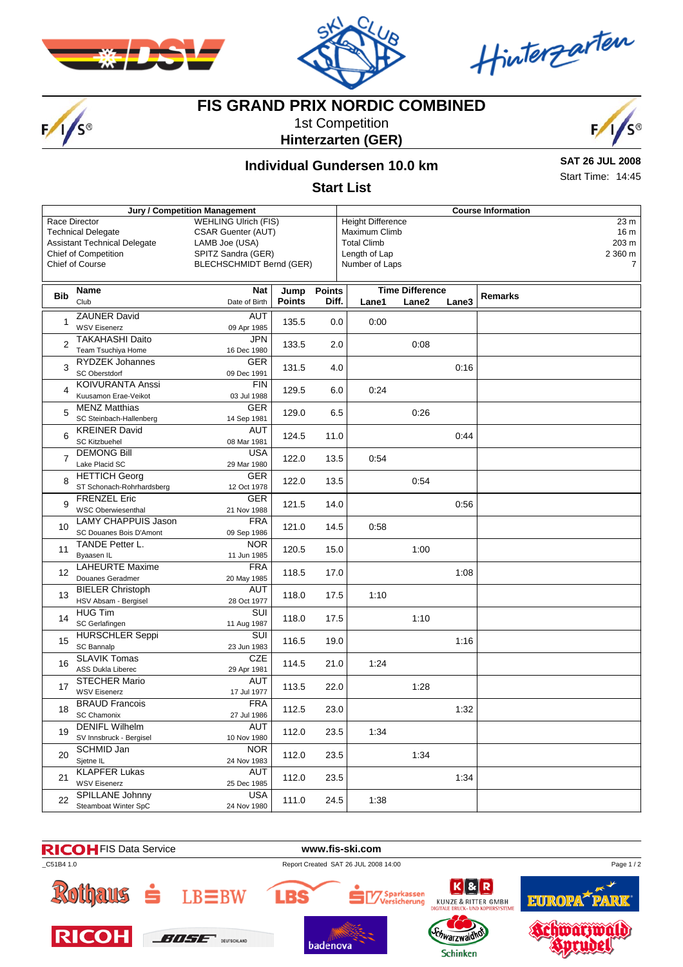



Hinterzarten

# $F/I/S^{\circ}$

# **FIS GRAND PRIX NORDIC COMBINED**

1st Competition **Hinterzarten (GER)**



## **Individual Gundersen 10.0 km**

**SAT 26 JUL 2008** Start Time: 14:45

#### **Start List**

| Jury / Competition Management                                        |                                                                                   |                                                                            |                       |                        |                        | <b>Course Information</b>                                       |                       |       |                |  |  |
|----------------------------------------------------------------------|-----------------------------------------------------------------------------------|----------------------------------------------------------------------------|-----------------------|------------------------|------------------------|-----------------------------------------------------------------|-----------------------|-------|----------------|--|--|
|                                                                      | Race Director<br><b>Technical Delegate</b><br><b>Assistant Technical Delegate</b> | <b>WEHLING Ulrich (FIS)</b><br><b>CSAR Guenter (AUT)</b><br>LAMB Joe (USA) |                       |                        |                        | <b>Height Difference</b><br>Maximum Climb<br><b>Total Climb</b> | 23 m<br>16 m<br>203 m |       |                |  |  |
|                                                                      | <b>Chief of Competition</b>                                                       | SPITZ Sandra (GER)                                                         |                       |                        | Length of Lap          |                                                                 |                       |       | 2 360 m        |  |  |
|                                                                      |                                                                                   |                                                                            |                       |                        |                        |                                                                 |                       |       | $\overline{7}$ |  |  |
| <b>Chief of Course</b><br>BLECHSCHMIDT Bernd (GER)<br>Number of Laps |                                                                                   |                                                                            |                       |                        |                        |                                                                 |                       |       |                |  |  |
|                                                                      |                                                                                   |                                                                            |                       |                        | <b>Time Difference</b> |                                                                 |                       |       |                |  |  |
| <b>Bib</b>                                                           | Name<br>Club                                                                      | <b>Nat</b><br>Date of Birth                                                | Jump<br><b>Points</b> | <b>Points</b><br>Diff. |                        | Lane1                                                           | Lane2                 | Lane3 | <b>Remarks</b> |  |  |
|                                                                      | <b>ZAUNER David</b>                                                               | <b>AUT</b>                                                                 |                       |                        |                        |                                                                 |                       |       |                |  |  |
| 1                                                                    | <b>WSV Eisenerz</b>                                                               | 09 Apr 1985                                                                | 135.5                 | 0.0                    |                        | 0:00                                                            |                       |       |                |  |  |
|                                                                      | <b>TAKAHASHI Daito</b>                                                            | JPN                                                                        |                       |                        |                        |                                                                 |                       |       |                |  |  |
| $\overline{2}$                                                       | Team Tsuchiya Home                                                                | 16 Dec 1980                                                                | 133.5                 | 2.0                    |                        |                                                                 | 0:08                  |       |                |  |  |
| 3                                                                    | RYDZEK Johannes                                                                   | <b>GER</b>                                                                 |                       |                        |                        |                                                                 |                       | 0:16  |                |  |  |
|                                                                      | SC Oberstdorf                                                                     | 09 Dec 1991                                                                | 131.5                 | 4.0                    |                        |                                                                 |                       |       |                |  |  |
|                                                                      | <b>KOIVURANTA Anssi</b>                                                           | <b>FIN</b>                                                                 |                       | 6.0                    |                        | 0:24                                                            |                       |       |                |  |  |
| 4                                                                    | Kuusamon Erae-Veikot                                                              | 03 Jul 1988                                                                | 129.5                 |                        |                        |                                                                 |                       |       |                |  |  |
| 5                                                                    | <b>MENZ Matthias</b>                                                              | <b>GER</b>                                                                 | 129.0                 | 6.5                    |                        |                                                                 | 0:26                  |       |                |  |  |
|                                                                      | SC Steinbach-Hallenberg                                                           | 14 Sep 1981                                                                |                       |                        |                        |                                                                 |                       |       |                |  |  |
| 6                                                                    | <b>KREINER David</b>                                                              | <b>AUT</b>                                                                 | 124.5                 | 11.0                   |                        |                                                                 |                       | 0:44  |                |  |  |
|                                                                      | <b>SC Kitzbuehel</b>                                                              | 08 Mar 1981                                                                |                       |                        |                        |                                                                 |                       |       |                |  |  |
| 7<br>8<br>9                                                          | <b>DEMONG Bill</b>                                                                | <b>USA</b>                                                                 | 122.0                 | 13.5<br>13.5<br>14.0   |                        | 0:54                                                            |                       |       |                |  |  |
|                                                                      | Lake Placid SC                                                                    | 29 Mar 1980                                                                |                       |                        |                        |                                                                 |                       |       |                |  |  |
|                                                                      | <b>HETTICH Georg</b><br>ST Schonach-Rohrhardsberg                                 | <b>GER</b><br>12 Oct 1978                                                  | 122.0                 |                        |                        |                                                                 | 0:54                  |       |                |  |  |
|                                                                      | <b>FRENZEL Eric</b>                                                               | <b>GER</b>                                                                 |                       |                        |                        |                                                                 |                       |       |                |  |  |
|                                                                      | <b>WSC Oberwiesenthal</b>                                                         | 21 Nov 1988                                                                | 121.5                 |                        |                        |                                                                 |                       | 0:56  |                |  |  |
| 10                                                                   | <b>LAMY CHAPPUIS Jason</b>                                                        | <b>FRA</b>                                                                 | 121.0                 | 14.5                   |                        | 0:58                                                            |                       |       |                |  |  |
|                                                                      | SC Douanes Bois D'Amont                                                           | 09 Sep 1986                                                                |                       |                        |                        |                                                                 |                       |       |                |  |  |
|                                                                      | TANDE Petter L.                                                                   | <b>NOR</b>                                                                 |                       | 15.0                   |                        |                                                                 | 1:00                  |       |                |  |  |
| 11                                                                   | Byaasen IL                                                                        | 11 Jun 1985                                                                | 120.5                 |                        |                        |                                                                 |                       |       |                |  |  |
| 12                                                                   | <b>LAHEURTE Maxime</b>                                                            | <b>FRA</b>                                                                 | 118.5                 | 17.0                   |                        |                                                                 |                       | 1:08  |                |  |  |
|                                                                      | Douanes Geradmer                                                                  | 20 May 1985                                                                |                       |                        |                        |                                                                 |                       |       |                |  |  |
| 13                                                                   | <b>BIELER Christoph</b>                                                           | AUT                                                                        | 118.0                 | 17.5                   |                        | 1:10                                                            |                       |       |                |  |  |
|                                                                      | HSV Absam - Bergisel                                                              | 28 Oct 1977                                                                |                       |                        |                        |                                                                 |                       |       |                |  |  |
| 14                                                                   | <b>HUG Tim</b>                                                                    | <b>SUI</b>                                                                 | 118.0                 | 17.5                   |                        |                                                                 | 1:10                  |       |                |  |  |
|                                                                      | SC Gerlafingen<br><b>HURSCHLER Seppi</b>                                          | 11 Aug 1987<br>SUI                                                         |                       |                        |                        |                                                                 |                       |       |                |  |  |
| 15                                                                   | SC Bannalp                                                                        | 23 Jun 1983                                                                | 116.5                 | 19.0                   |                        |                                                                 |                       | 1:16  |                |  |  |
|                                                                      | <b>SLAVIK Tomas</b>                                                               | <b>CZE</b>                                                                 |                       | 21.0                   |                        |                                                                 |                       |       |                |  |  |
| 16                                                                   | ASS Dukla Liberec                                                                 | 29 Apr 1981                                                                | 114.5                 |                        |                        | 1:24                                                            |                       |       |                |  |  |
|                                                                      | <b>STECHER Mario</b>                                                              | AUT                                                                        |                       | 22.0<br>23.0           |                        |                                                                 |                       |       |                |  |  |
| 17                                                                   | <b>WSV Eisenerz</b>                                                               | 17 Jul 1977                                                                | 113.5                 |                        |                        |                                                                 | 1:28                  |       |                |  |  |
| 18                                                                   | <b>BRAUD Francois</b>                                                             | <b>FRA</b>                                                                 | 112.5                 |                        |                        |                                                                 |                       | 1:32  |                |  |  |
|                                                                      | <b>SC Chamonix</b>                                                                | 27 Jul 1986                                                                |                       |                        |                        |                                                                 |                       |       |                |  |  |
| 19<br>20<br>21                                                       | <b>DENIFL Wilhelm</b>                                                             | AUT                                                                        | 112.0                 | 23.5<br>23.5<br>23.5   |                        | 1:34                                                            | 1:34                  |       |                |  |  |
|                                                                      | SV Innsbruck - Bergisel                                                           | 10 Nov 1980                                                                |                       |                        |                        |                                                                 |                       |       |                |  |  |
|                                                                      | SCHMID Jan                                                                        | <b>NOR</b>                                                                 | 112.0                 |                        |                        |                                                                 |                       |       |                |  |  |
|                                                                      | Sjetne IL                                                                         | 24 Nov 1983                                                                |                       |                        |                        |                                                                 |                       |       |                |  |  |
|                                                                      | <b>KLAPFER Lukas</b><br><b>WSV Eisenerz</b>                                       | AUT<br>25 Dec 1985                                                         | 112.0                 |                        |                        |                                                                 |                       | 1:34  |                |  |  |
|                                                                      | SPILLANE Johnny                                                                   | <b>USA</b>                                                                 |                       |                        |                        |                                                                 |                       |       |                |  |  |
| 22                                                                   | Steamboat Winter SpC                                                              | 24 Nov 1980                                                                | 111.0                 | 24.5                   |                        | 1:38                                                            |                       |       |                |  |  |
|                                                                      |                                                                                   |                                                                            |                       |                        |                        |                                                                 |                       |       |                |  |  |